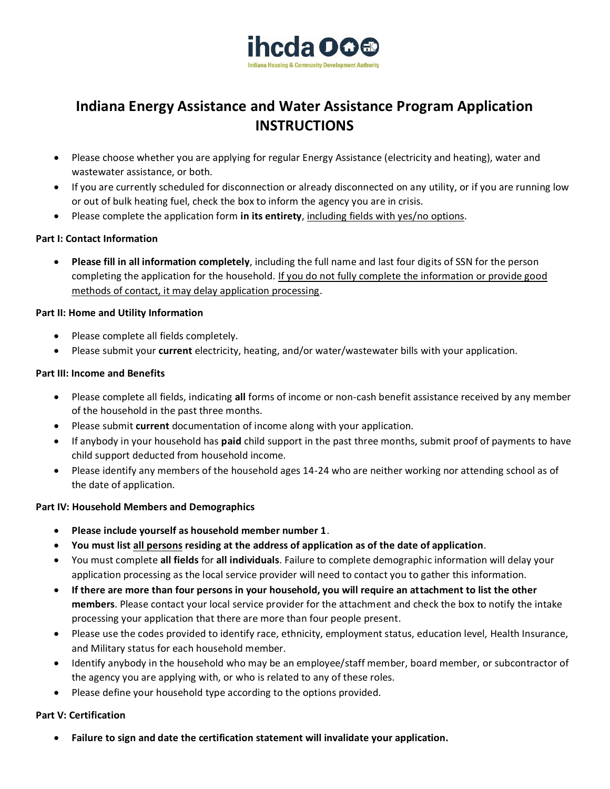

# **Indiana Energy Assistance and Water Assistance Program Application INSTRUCTIONS**

- Please choose whether you are applying for regular Energy Assistance (electricity and heating), water and wastewater assistance, or both.
- If you are currently scheduled for disconnection or already disconnected on any utility, or if you are running low or out of bulk heating fuel, check the box to inform the agency you are in crisis.
- Please complete the application form **in its entirety**, including fields with yes/no options.

#### **Part I: Contact Information**

• **Please fill in all information completely**, including the full name and last four digits of SSN for the person completing the application for the household. If you do not fully complete the information or provide good methods of contact, it may delay application processing.

#### **Part II: Home and Utility Information**

- Please complete all fields completely.
- Please submit your **current** electricity, heating, and/or water/wastewater bills with your application.

#### **Part III: Income and Benefits**

- Please complete all fields, indicating **all** forms of income or non-cash benefit assistance received by any member of the household in the past three months.
- Please submit **current** documentation of income along with your application.
- If anybody in your household has **paid** child support in the past three months, submit proof of payments to have child support deducted from household income.
- Please identify any members of the household ages 14-24 who are neither working nor attending school as of the date of application.

#### **Part IV: Household Members and Demographics**

- **Please include yourself as household member number 1**.
- **You must list all persons residing at the address of application as of the date of application**.
- You must complete **all fields** for **all individuals**. Failure to complete demographic information will delay your application processing as the local service provider will need to contact you to gather this information.
- **If there are more than four persons in your household, you will require an attachment to list the other members**. Please contact your local service provider for the attachment and check the box to notify the intake processing your application that there are more than four people present.
- Please use the codes provided to identify race, ethnicity, employment status, education level, Health Insurance, and Military status for each household member.
- Identify anybody in the household who may be an employee/staff member, board member, or subcontractor of the agency you are applying with, or who is related to any of these roles.
- Please define your household type according to the options provided.

#### **Part V: Certification**

• **Failure to sign and date the certification statement will invalidate your application.**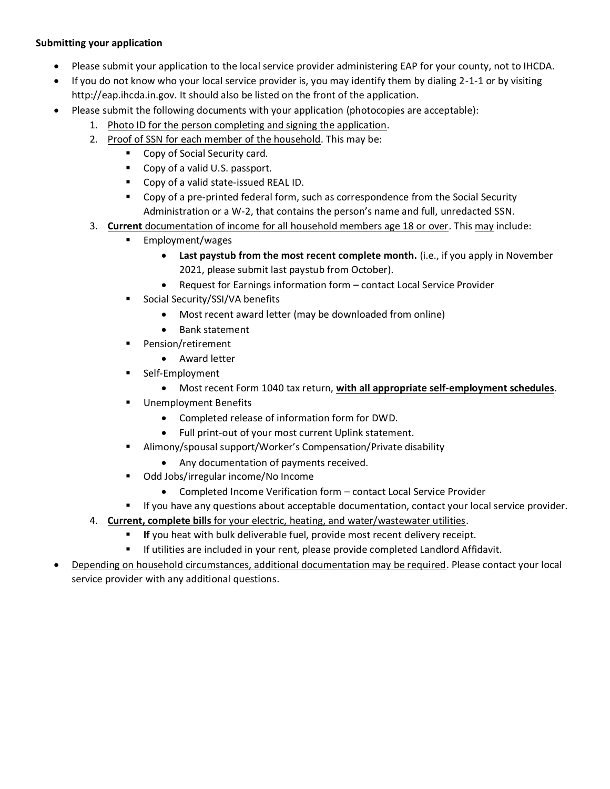#### **Submitting your application**

- Please submit your application to the local service provider administering EAP for your county, not to IHCDA.
- If you do not know who your local service provider is, you may identify them by dialing 2-1-1 or by visiting http://eap.ihcda.in.gov. It should also be listed on the front of the application.
- Please submit the following documents with your application (photocopies are acceptable):
	- 1. Photo ID for the person completing and signing the application.
	- 2. Proof of SSN for each member of the household. This may be:
		- Copy of Social Security card.
		- Copy of a valid U.S. passport.
		- Copy of a valid state-issued REAL ID.
		- Copy of a pre-printed federal form, such as correspondence from the Social Security Administration or a W-2, that contains the person's name and full, unredacted SSN.
	- 3. **Current** documentation of income for all household members age 18 or over. This may include:
		- Employment/wages
			- **Last paystub from the most recent complete month.** (i.e., if you apply in November 2021, please submit last paystub from October).
			- Request for Earnings information form contact Local Service Provider
		- Social Security/SSI/VA benefits
			- Most recent award letter (may be downloaded from online)
			- Bank statement
		- Pension/retirement
			- Award letter
		- Self-Employment
			- Most recent Form 1040 tax return, **with all appropriate self-employment schedules**.
		- Unemployment Benefits
			- Completed release of information form for DWD.
			- Full print-out of your most current Uplink statement.
		- Alimony/spousal support/Worker's Compensation/Private disability
			- Any documentation of payments received.
		- Odd Jobs/irregular income/No Income
			- Completed Income Verification form contact Local Service Provider
		- **■** If you have any questions about acceptable documentation, contact your local service provider.
	- 4. **Current, complete bills** for your electric, heating, and water/wastewater utilities.
		- If you heat with bulk deliverable fuel, provide most recent delivery receipt.
		- **■** If utilities are included in your rent, please provide completed Landlord Affidavit.
- Depending on household circumstances, additional documentation may be required. Please contact your local service provider with any additional questions.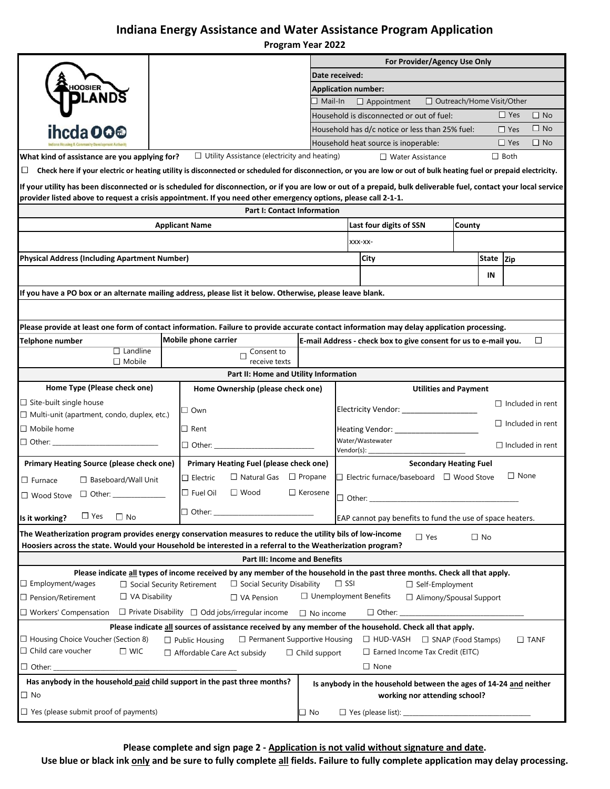## **Indiana Energy Assistance and Water Assistance Program Application**

**Program Year 2022**

|                                                                                                                                                                                                                                                                                     |                |                                                                                                                                                                   | For Provider/Agency Use Only                                               |                                                                |                                                                   |  |           |                |                         |  |  |
|-------------------------------------------------------------------------------------------------------------------------------------------------------------------------------------------------------------------------------------------------------------------------------------|----------------|-------------------------------------------------------------------------------------------------------------------------------------------------------------------|----------------------------------------------------------------------------|----------------------------------------------------------------|-------------------------------------------------------------------|--|-----------|----------------|-------------------------|--|--|
|                                                                                                                                                                                                                                                                                     | Date received: |                                                                                                                                                                   |                                                                            |                                                                |                                                                   |  |           |                |                         |  |  |
|                                                                                                                                                                                                                                                                                     |                |                                                                                                                                                                   | <b>Application number:</b>                                                 |                                                                |                                                                   |  |           |                |                         |  |  |
|                                                                                                                                                                                                                                                                                     |                |                                                                                                                                                                   | $\Box$ Mail-In                                                             |                                                                | □ Outreach/Home Visit/Other<br>$\Box$ Appointment                 |  |           |                |                         |  |  |
|                                                                                                                                                                                                                                                                                     |                |                                                                                                                                                                   |                                                                            |                                                                | Household is disconnected or out of fuel:                         |  |           | $\Box$ Yes     | $\Box$ No               |  |  |
| ihcda OO <sup>®</sup>                                                                                                                                                                                                                                                               |                |                                                                                                                                                                   |                                                                            |                                                                | Household has d/c notice or less than 25% fuel:                   |  |           | $\Box$ Yes     | $\Box$ No               |  |  |
|                                                                                                                                                                                                                                                                                     |                |                                                                                                                                                                   |                                                                            |                                                                | Household heat source is inoperable:                              |  |           | $\Box$ Yes     | $\Box$ No               |  |  |
| What kind of assistance are you applying for?                                                                                                                                                                                                                                       |                | $\Box$ Utility Assistance (electricity and heating)                                                                                                               |                                                                            |                                                                | $\Box$ Water Assistance                                           |  |           | $\Box$ Both    |                         |  |  |
| Ц                                                                                                                                                                                                                                                                                   |                | Check here if your electric or heating utility is disconnected or scheduled for disconnection, or you are low or out of bulk heating fuel or prepaid electricity. |                                                                            |                                                                |                                                                   |  |           |                |                         |  |  |
|                                                                                                                                                                                                                                                                                     |                |                                                                                                                                                                   |                                                                            |                                                                |                                                                   |  |           |                |                         |  |  |
| If your utility has been disconnected or is scheduled for disconnection, or if you are low or out of a prepaid, bulk deliverable fuel, contact your local service<br>provider listed above to request a crisis appointment. If you need other emergency options, please call 2-1-1. |                |                                                                                                                                                                   |                                                                            |                                                                |                                                                   |  |           |                |                         |  |  |
| Part I: Contact Information                                                                                                                                                                                                                                                         |                |                                                                                                                                                                   |                                                                            |                                                                |                                                                   |  |           |                |                         |  |  |
| Last four digits of SSN<br><b>County</b><br><b>Applicant Name</b>                                                                                                                                                                                                                   |                |                                                                                                                                                                   |                                                                            |                                                                |                                                                   |  |           |                |                         |  |  |
|                                                                                                                                                                                                                                                                                     |                |                                                                                                                                                                   |                                                                            |                                                                | XXX-XX-                                                           |  |           |                |                         |  |  |
| <b>Physical Address (Including Apartment Number)</b>                                                                                                                                                                                                                                |                |                                                                                                                                                                   |                                                                            |                                                                | City                                                              |  | State Zip |                |                         |  |  |
|                                                                                                                                                                                                                                                                                     |                |                                                                                                                                                                   |                                                                            |                                                                |                                                                   |  | ΙN        |                |                         |  |  |
|                                                                                                                                                                                                                                                                                     |                |                                                                                                                                                                   |                                                                            |                                                                |                                                                   |  |           |                |                         |  |  |
| If you have a PO box or an alternate mailing address, please list it below. Otherwise, please leave blank.                                                                                                                                                                          |                |                                                                                                                                                                   |                                                                            |                                                                |                                                                   |  |           |                |                         |  |  |
|                                                                                                                                                                                                                                                                                     |                |                                                                                                                                                                   |                                                                            |                                                                |                                                                   |  |           |                |                         |  |  |
| Please provide at least one form of contact information. Failure to provide accurate contact information may delay application processing.                                                                                                                                          |                |                                                                                                                                                                   |                                                                            |                                                                |                                                                   |  |           |                |                         |  |  |
| <b>Telphone number</b>                                                                                                                                                                                                                                                              |                | Mobile phone carrier                                                                                                                                              | $\Box$<br>E-mail Address - check box to give consent for us to e-mail you. |                                                                |                                                                   |  |           |                |                         |  |  |
| $\Box$ Landline<br>$\Box$ Mobile                                                                                                                                                                                                                                                    |                | Consent to<br>$\Box$<br>receive texts                                                                                                                             |                                                                            |                                                                |                                                                   |  |           |                |                         |  |  |
|                                                                                                                                                                                                                                                                                     |                | Part II: Home and Utility Information                                                                                                                             |                                                                            |                                                                |                                                                   |  |           |                |                         |  |  |
| Home Type (Please check one)                                                                                                                                                                                                                                                        |                | Home Ownership (please check one)                                                                                                                                 |                                                                            |                                                                | <b>Utilities and Payment</b>                                      |  |           |                |                         |  |  |
| $\Box$ Site-built single house                                                                                                                                                                                                                                                      |                |                                                                                                                                                                   |                                                                            |                                                                |                                                                   |  |           |                | $\Box$ Included in rent |  |  |
| $\Box$ Multi-unit (apartment, condo, duplex, etc.)                                                                                                                                                                                                                                  |                | $\square$ Own                                                                                                                                                     |                                                                            |                                                                | Electricity Vendor: _______________                               |  |           |                |                         |  |  |
| $\Box$ Mobile home                                                                                                                                                                                                                                                                  | $\Box$ Rent    |                                                                                                                                                                   | $\Box$ Included in rent<br>Heating Vendor: _____________                   |                                                                |                                                                   |  |           |                |                         |  |  |
|                                                                                                                                                                                                                                                                                     |                | $\Box$ Other:                                                                                                                                                     |                                                                            |                                                                | Water/Wastewater                                                  |  |           |                |                         |  |  |
|                                                                                                                                                                                                                                                                                     |                |                                                                                                                                                                   |                                                                            | $\Box$ Included in rent<br>Vendor(s): $\overline{\phantom{a}}$ |                                                                   |  |           |                |                         |  |  |
| <b>Primary Heating Source (please check one)</b>                                                                                                                                                                                                                                    |                | <b>Primary Heating Fuel (please check one)</b>                                                                                                                    |                                                                            |                                                                | <b>Secondary Heating Fuel</b>                                     |  |           |                |                         |  |  |
| $\Box$ Baseboard/Wall Unit<br>$\Box$ Furnace                                                                                                                                                                                                                                        |                | $\Box$ Natural Gas<br>$\square$ Electric                                                                                                                          | $\Box$ Propane                                                             |                                                                | $\Box$ Electric furnace/baseboard $\Box$ Wood Stove               |  |           | $\square$ None |                         |  |  |
| $\Box$ Fuel Oil<br>$\Box$ Wood<br>$\Box$ Kerosene<br>$\Box$ Wood Stove                                                                                                                                                                                                              |                |                                                                                                                                                                   |                                                                            |                                                                | $\Box$ Other:                                                     |  |           |                |                         |  |  |
|                                                                                                                                                                                                                                                                                     |                | $\Box$ Other:                                                                                                                                                     |                                                                            |                                                                |                                                                   |  |           |                |                         |  |  |
| $\Box$ Yes<br>$\Box$ No<br>EAP cannot pay benefits to fund the use of space heaters.<br>Is it working?                                                                                                                                                                              |                |                                                                                                                                                                   |                                                                            |                                                                |                                                                   |  |           |                |                         |  |  |
| The Weatherization program provides energy conservation measures to reduce the utility bils of low-income                                                                                                                                                                           |                |                                                                                                                                                                   |                                                                            |                                                                | $\Box$ Yes                                                        |  | $\Box$ No |                |                         |  |  |
| Hoosiers across the state. Would your Household be interested in a referral to the Weatherization program?                                                                                                                                                                          |                |                                                                                                                                                                   |                                                                            |                                                                |                                                                   |  |           |                |                         |  |  |
|                                                                                                                                                                                                                                                                                     |                | <b>Part III: Income and Benefits</b>                                                                                                                              |                                                                            |                                                                |                                                                   |  |           |                |                         |  |  |
|                                                                                                                                                                                                                                                                                     |                | Please indicate all types of income received by any member of the household in the past three months. Check all that apply.                                       |                                                                            |                                                                |                                                                   |  |           |                |                         |  |  |
| $\Box$ Employment/wages<br>$\Box$ Social Security Disability<br>$\Box$ SSI<br>$\Box$ Social Security Retirement<br>$\Box$ Self-Employment                                                                                                                                           |                |                                                                                                                                                                   |                                                                            |                                                                |                                                                   |  |           |                |                         |  |  |
| $\Box$ Unemployment Benefits<br>$\Box$ VA Disability<br>□ Pension/Retirement<br>$\Box$ Alimony/Spousal Support<br>$\Box$ VA Pension                                                                                                                                                 |                |                                                                                                                                                                   |                                                                            |                                                                |                                                                   |  |           |                |                         |  |  |
| $\Box$ Workers' Compensation $\Box$ Private Disability $\Box$ Odd jobs/irregular income<br>$\Box$ Other: $\Box$<br>$\Box$ No income                                                                                                                                                 |                |                                                                                                                                                                   |                                                                            |                                                                |                                                                   |  |           |                |                         |  |  |
| Please indicate all sources of assistance received by any member of the household. Check all that apply.                                                                                                                                                                            |                |                                                                                                                                                                   |                                                                            |                                                                |                                                                   |  |           |                |                         |  |  |
| □ Housing Choice Voucher (Section 8)<br>$\Box$ Permanent Supportive Housing<br>$\Box$ Public Housing<br>$\Box$ HUD-VASH $\Box$ SNAP (Food Stamps)<br>$\square$ TANF<br>$\Box$ Child care voucher<br>$\square$ WIC<br>$\Box$ Earned Income Tax Credit (EITC)<br>$\Box$ Child support |                |                                                                                                                                                                   |                                                                            |                                                                |                                                                   |  |           |                |                         |  |  |
|                                                                                                                                                                                                                                                                                     |                | $\Box$ Affordable Care Act subsidy                                                                                                                                |                                                                            |                                                                |                                                                   |  |           |                |                         |  |  |
| $\Box$ Other: $\_\_$                                                                                                                                                                                                                                                                |                |                                                                                                                                                                   |                                                                            |                                                                | $\Box$ None                                                       |  |           |                |                         |  |  |
| Has anybody in the household paid child support in the past three months?                                                                                                                                                                                                           |                |                                                                                                                                                                   |                                                                            |                                                                | Is anybody in the household between the ages of 14-24 and neither |  |           |                |                         |  |  |
| $\Box$ No                                                                                                                                                                                                                                                                           |                |                                                                                                                                                                   |                                                                            |                                                                | working nor attending school?                                     |  |           |                |                         |  |  |
| $\Box$ Yes (please submit proof of payments)                                                                                                                                                                                                                                        |                |                                                                                                                                                                   | ∃ No                                                                       |                                                                |                                                                   |  |           |                |                         |  |  |

**Please complete and sign page 2 - Application is not valid without signature and date.**

Use blue or black ink only and be sure to fully complete all fields. Failure to fully complete application may delay processing.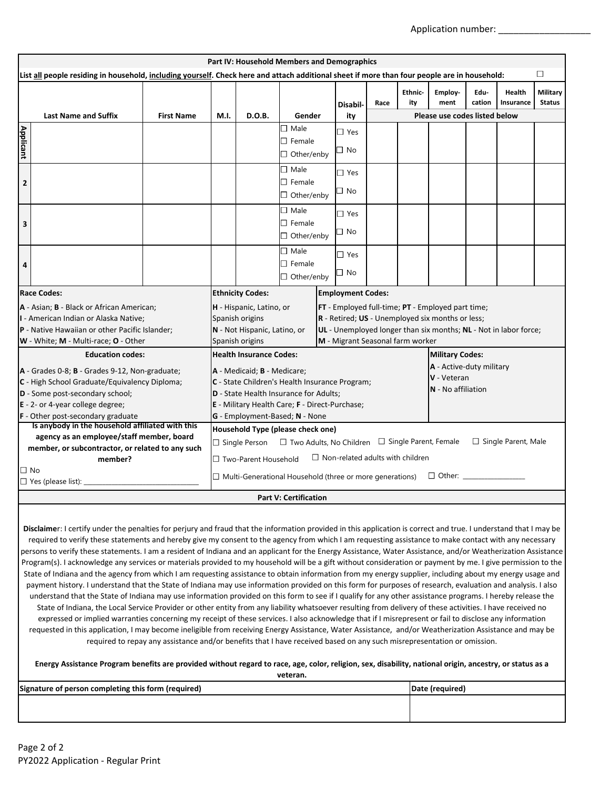Application number:

| Part IV: Household Members and Demographics                                                                                                                                                                 |                           |                                                                                                                                                                                                                                                                              |                                                         |                         |      |                       |                                                                  |                |                            |                                  |  |
|-------------------------------------------------------------------------------------------------------------------------------------------------------------------------------------------------------------|---------------------------|------------------------------------------------------------------------------------------------------------------------------------------------------------------------------------------------------------------------------------------------------------------------------|---------------------------------------------------------|-------------------------|------|-----------------------|------------------------------------------------------------------|----------------|----------------------------|----------------------------------|--|
| □<br>List all people residing in household, including yourself. Check here and attach additional sheet if more than four people are in household:                                                           |                           |                                                                                                                                                                                                                                                                              |                                                         |                         |      |                       |                                                                  |                |                            |                                  |  |
|                                                                                                                                                                                                             |                           |                                                                                                                                                                                                                                                                              |                                                         | Disabil-                | Race | <b>Ethnic-</b><br>ity | Employ-<br>ment                                                  | Edu-<br>cation | <b>Health</b><br>Insurance | <b>Military</b><br><b>Status</b> |  |
| <b>Last Name and Suffix</b>                                                                                                                                                                                 | <b>First Name</b><br>M.I. | D.O.B.                                                                                                                                                                                                                                                                       | Gender                                                  | ity                     |      |                       | Please use codes listed below                                    |                |                            |                                  |  |
| <b>Applicant</b>                                                                                                                                                                                            |                           | $\Box$ Male<br>$\Box$ Female<br>$\Box$ Other/enby                                                                                                                                                                                                                            |                                                         | $\Box$ Yes<br>□ No      |      |                       |                                                                  |                |                            |                                  |  |
| $\overline{2}$                                                                                                                                                                                              |                           | $\Box$ Male<br>$\square$ Female<br>$\Box$ Other/enby                                                                                                                                                                                                                         |                                                         | $\Box$ Yes<br>⊐ No      |      |                       |                                                                  |                |                            |                                  |  |
| 3                                                                                                                                                                                                           |                           |                                                                                                                                                                                                                                                                              | $\square$ Male<br>$\square$ Female<br>$\Box$ Other/enby | $\Box$ Yes<br>$\Box$ No |      |                       |                                                                  |                |                            |                                  |  |
| 4                                                                                                                                                                                                           |                           |                                                                                                                                                                                                                                                                              | $\Box$ Male<br>$\Box$ Female<br>$\Box$ Other/enby       | $\Box$ Yes<br>□ No      |      |                       |                                                                  |                |                            |                                  |  |
| <b>Race Codes:</b>                                                                                                                                                                                          |                           | <b>Employment Codes:</b><br><b>Ethnicity Codes:</b>                                                                                                                                                                                                                          |                                                         |                         |      |                       |                                                                  |                |                            |                                  |  |
| A - Asian; B - Black or African American;<br>I - American Indian or Alaska Native;<br>P - Native Hawaiian or other Pacific Islander;<br>W - White; M - Multi-race; O - Other                                |                           | H - Hispanic, Latino, or<br>FT - Employed full-time; PT - Employed part time;<br>R - Retired; US - Unemployed six months or less;<br>Spanish origins<br>N - Not Hispanic, Latino, or<br>M - Migrant Seasonal farm worker<br>Spanish origins                                  |                                                         |                         |      |                       | UL - Unemployed longer than six months; NL - Not in labor force; |                |                            |                                  |  |
| <b>Education codes:</b>                                                                                                                                                                                     |                           | <b>Health Insurance Codes:</b>                                                                                                                                                                                                                                               | <b>Military Codes:</b>                                  |                         |      |                       |                                                                  |                |                            |                                  |  |
| A - Grades 0-8; B - Grades 9-12, Non-graduate;<br>C - High School Graduate/Equivalency Diploma;<br>D - Some post-secondary school;<br>E - 2- or 4-year college degree;<br>F - Other post-secondary graduate |                           | A - Active-duty military<br>A - Medicaid; B - Medicare;<br>V - Veteran<br>C - State Children's Health Insurance Program;<br>N - No affiliation<br>D - State Health Insurance for Adults;<br>E - Military Health Care; F - Direct-Purchase;<br>G - Employment-Based; N - None |                                                         |                         |      |                       |                                                                  |                |                            |                                  |  |
| Is anybody in the household affiliated with this                                                                                                                                                            |                           | Household Type (please check one)                                                                                                                                                                                                                                            |                                                         |                         |      |                       |                                                                  |                |                            |                                  |  |
| agency as an employee/staff member, board<br>member, or subcontractor, or related to any such<br>member?<br>□ No                                                                                            |                           | $\Box$ Two Adults, No Children $\Box$ Single Parent, Female<br>$\Box$ Single Parent, Male<br>$\Box$ Single Person<br>$\Box$ Non-related adults with children<br>$\Box$ Two-Parent Household<br>$\Box$ Multi-Generational Household (three or more generations)               |                                                         |                         |      |                       |                                                                  |                |                            |                                  |  |
| $\Box$ Yes (please list):                                                                                                                                                                                   |                           |                                                                                                                                                                                                                                                                              |                                                         |                         |      |                       |                                                                  |                |                            |                                  |  |
| <b>Part V: Certification</b>                                                                                                                                                                                |                           |                                                                                                                                                                                                                                                                              |                                                         |                         |      |                       |                                                                  |                |                            |                                  |  |

**Disclaime**r: I certify under the penalties for perjury and fraud that the information provided in this application is correct and true. I understand that I may be required to verify these statements and hereby give my consent to the agency from which I am requesting assistance to make contact with any necessary persons to verify these statements. I am a resident of Indiana and an applicant for the Energy Assistance, Water Assistance, and/or Weatherization Assistance Program(s). I acknowledge any services or materials provided to my household will be a gift without consideration or payment by me. I give permission to the State of Indiana and the agency from which I am requesting assistance to obtain information from my energy supplier, including about my energy usage and payment history. I understand that the State of Indiana may use information provided on this form for purposes of research, evaluation and analysis. I also understand that the State of Indiana may use information provided on this form to see if I qualify for any other assistance programs. I hereby release the State of Indiana, the Local Service Provider or other entity from any liability whatsoever resulting from delivery of these activities. I have received no expressed or implied warranties concerning my receipt of these services. I also acknowledge that if I misrepresent or fail to disclose any information requested in this application, I may become ineligible from receiving Energy Assistance, Water Assistance, and/or Weatherization Assistance and may be required to repay any assistance and/or benefits that I have received based on any such misrepresentation or omission.

#### **Energy Assistance Program benefits are provided without regard to race, age, color, religion, sex, disability, national origin, ancestry, or status as a**

**veteran.**

| Signature of person completing this form (required) | (Date (required) |
|-----------------------------------------------------|------------------|
|                                                     |                  |
|                                                     |                  |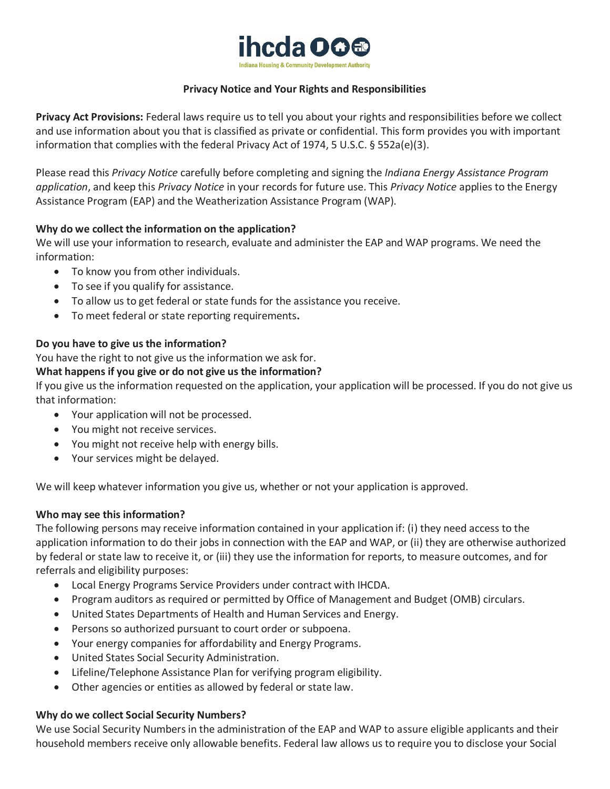

## **Privacy Notice and Your Rights and Responsibilities**

**Privacy Act Provisions:** Federal laws require us to tell you about your rights and responsibilities before we collect and use information about you that is classified as private or confidential. This form provides you with important information that complies with the federal Privacy Act of 1974, 5 U.S.C. § 552a(e)(3).

Please read this *Privacy Notice* carefully before completing and signing the *Indiana Energy Assistance Program application*, and keep this *Privacy Notice* in your records for future use. This *Privacy Notice* applies to the Energy Assistance Program (EAP) and the Weatherization Assistance Program (WAP).

## **Why do we collect the information on the application?**

We will use your information to research, evaluate and administer the EAP and WAP programs. We need the information:

- To know you from other individuals.
- To see if you qualify for assistance.
- To allow us to get federal or state funds for the assistance you receive.
- To meet federal or state reporting requirements**.**

## **Do you have to give us the information?**

You have the right to not give us the information we ask for.

## **What happens if you give or do not give us the information?**

If you give us the information requested on the application, your application will be processed. If you do not give us that information:

- Your application will not be processed.
- You might not receive services.
- You might not receive help with energy bills.
- Your services might be delayed.

We will keep whatever information you give us, whether or not your application is approved.

## **Who may see this information?**

The following persons may receive information contained in your application if: (i) they need access to the application information to do their jobs in connection with the EAP and WAP, or (ii) they are otherwise authorized by federal or state law to receive it, or (iii) they use the information for reports, to measure outcomes, and for referrals and eligibility purposes:

- Local Energy Programs Service Providers under contract with IHCDA.
- Program auditors as required or permitted by Office of Management and Budget (OMB) circulars.
- United States Departments of Health and Human Services and Energy.
- Persons so authorized pursuant to court order or subpoena.
- Your energy companies for affordability and Energy Programs.
- United States Social Security Administration.
- Lifeline/Telephone Assistance Plan for verifying program eligibility.
- Other agencies or entities as allowed by federal or state law.

## **Why do we collect Social Security Numbers?**

We use Social Security Numbers in the administration of the EAP and WAP to assure eligible applicants and their household members receive only allowable benefits. Federal law allows us to require you to disclose your Social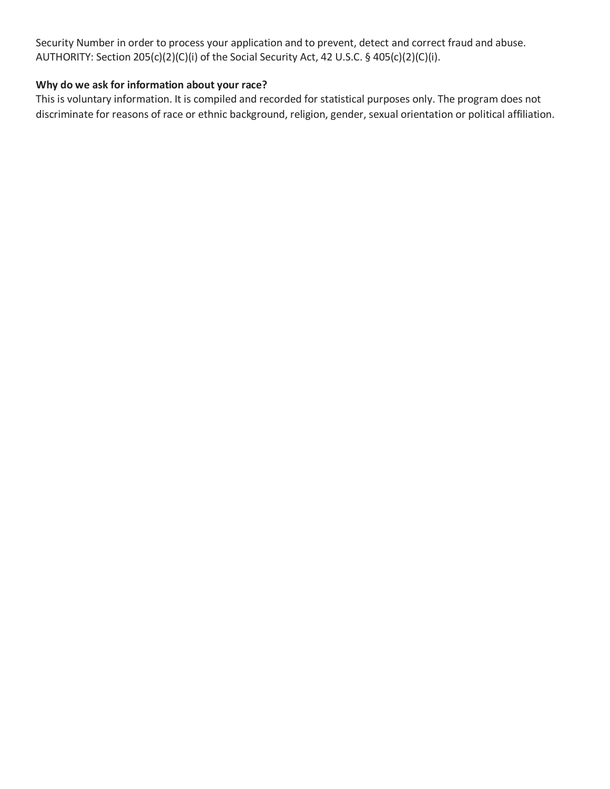Security Number in order to process your application and to prevent, detect and correct fraud and abuse. AUTHORITY: Section 205(c)(2)(C)(i) of the Social Security Act, 42 U.S.C. § 405(c)(2)(C)(i).

## **Why do we ask for information about your race?**

This is voluntary information. It is compiled and recorded for statistical purposes only. The program does not discriminate for reasons of race or ethnic background, religion, gender, sexual orientation or political affiliation.